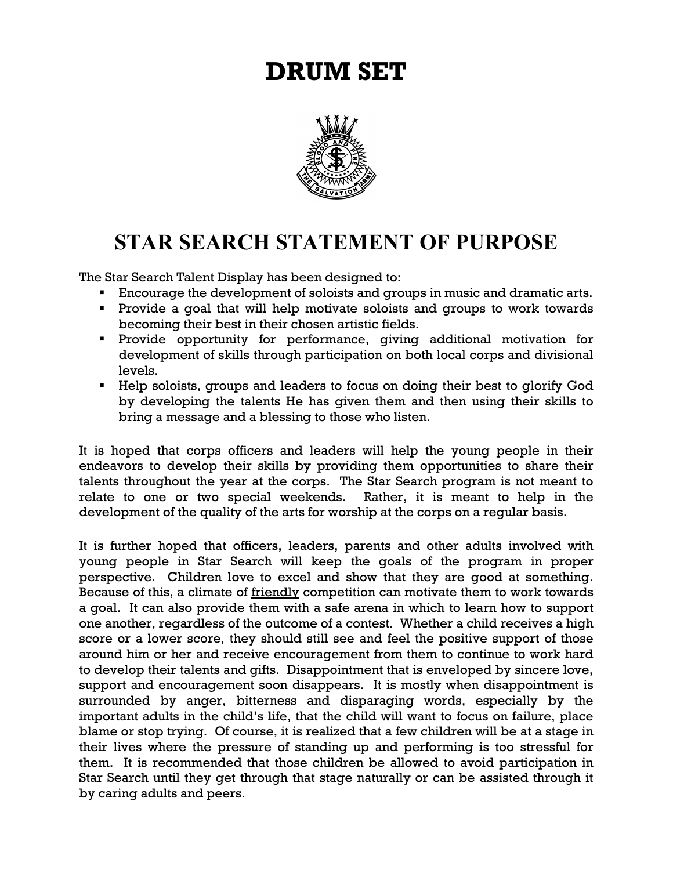# **DRUM SET**



# **STAR SEARCH STATEMENT OF PURPOSE**

The Star Search Talent Display has been designed to:

- **Encourage the development of soloists and groups in music and dramatic arts.**
- **Provide a goal that will help motivate soloists and groups to work towards** becoming their best in their chosen artistic fields.
- Provide opportunity for performance, giving additional motivation for development of skills through participation on both local corps and divisional levels.
- Help soloists, groups and leaders to focus on doing their best to glorify God by developing the talents He has given them and then using their skills to bring a message and a blessing to those who listen.

It is hoped that corps officers and leaders will help the young people in their endeavors to develop their skills by providing them opportunities to share their talents throughout the year at the corps. The Star Search program is not meant to relate to one or two special weekends. Rather, it is meant to help in the development of the quality of the arts for worship at the corps on a regular basis.

It is further hoped that officers, leaders, parents and other adults involved with young people in Star Search will keep the goals of the program in proper perspective. Children love to excel and show that they are good at something. Because of this, a climate of **friendly** competition can motivate them to work towards a goal. It can also provide them with a safe arena in which to learn how to support one another, regardless of the outcome of a contest. Whether a child receives a high score or a lower score, they should still see and feel the positive support of those around him or her and receive encouragement from them to continue to work hard to develop their talents and gifts. Disappointment that is enveloped by sincere love, support and encouragement soon disappears. It is mostly when disappointment is surrounded by anger, bitterness and disparaging words, especially by the important adults in the child's life, that the child will want to focus on failure, place blame or stop trying. Of course, it is realized that a few children will be at a stage in their lives where the pressure of standing up and performing is too stressful for them. It is recommended that those children be allowed to avoid participation in Star Search until they get through that stage naturally or can be assisted through it by caring adults and peers.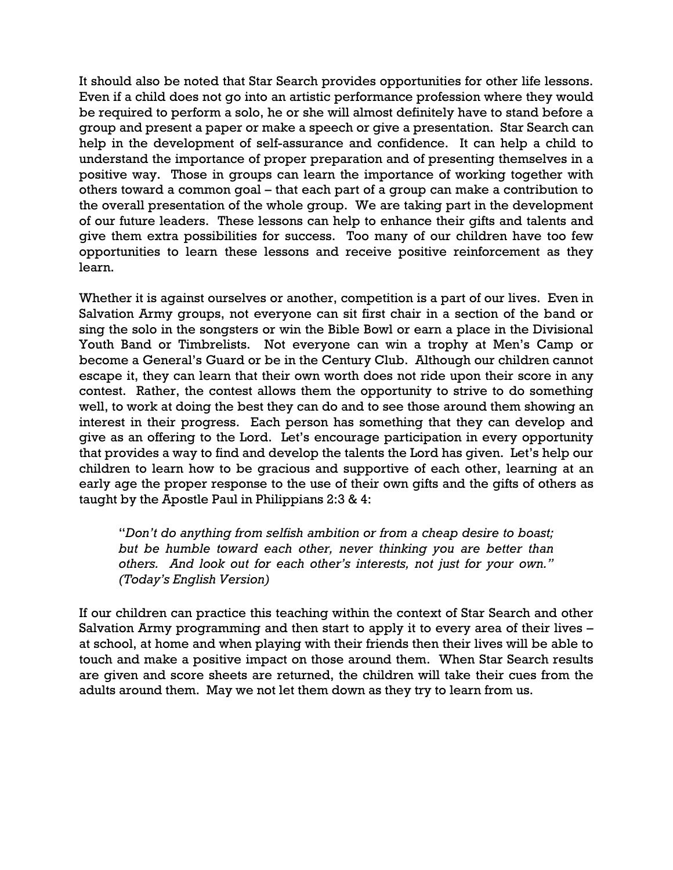It should also be noted that Star Search provides opportunities for other life lessons. Even if a child does not go into an artistic performance profession where they would be required to perform a solo, he or she will almost definitely have to stand before a group and present a paper or make a speech or give a presentation. Star Search can help in the development of self-assurance and confidence. It can help a child to understand the importance of proper preparation and of presenting themselves in a positive way. Those in groups can learn the importance of working together with others toward a common goal – that each part of a group can make a contribution to the overall presentation of the whole group. We are taking part in the development of our future leaders. These lessons can help to enhance their gifts and talents and give them extra possibilities for success. Too many of our children have too few opportunities to learn these lessons and receive positive reinforcement as they learn.

Whether it is against ourselves or another, competition is a part of our lives. Even in Salvation Army groups, not everyone can sit first chair in a section of the band or sing the solo in the songsters or win the Bible Bowl or earn a place in the Divisional Youth Band or Timbrelists. Not everyone can win a trophy at Men's Camp or become a General's Guard or be in the Century Club. Although our children cannot escape it, they can learn that their own worth does not ride upon their score in any contest. Rather, the contest allows them the opportunity to strive to do something well, to work at doing the best they can do and to see those around them showing an interest in their progress. Each person has something that they can develop and give as an offering to the Lord. Let's encourage participation in every opportunity that provides a way to find and develop the talents the Lord has given. Let's help our children to learn how to be gracious and supportive of each other, learning at an early age the proper response to the use of their own gifts and the gifts of others as taught by the Apostle Paul in Philippians 2:3 & 4:

"*Don't do anything from selfish ambition or from a cheap desire to boast; but be humble toward each other, never thinking you are better than others. And look out for each other's interests, not just for your own." (Today's English Version)*

If our children can practice this teaching within the context of Star Search and other Salvation Army programming and then start to apply it to every area of their lives – at school, at home and when playing with their friends then their lives will be able to touch and make a positive impact on those around them. When Star Search results are given and score sheets are returned, the children will take their cues from the adults around them. May we not let them down as they try to learn from us.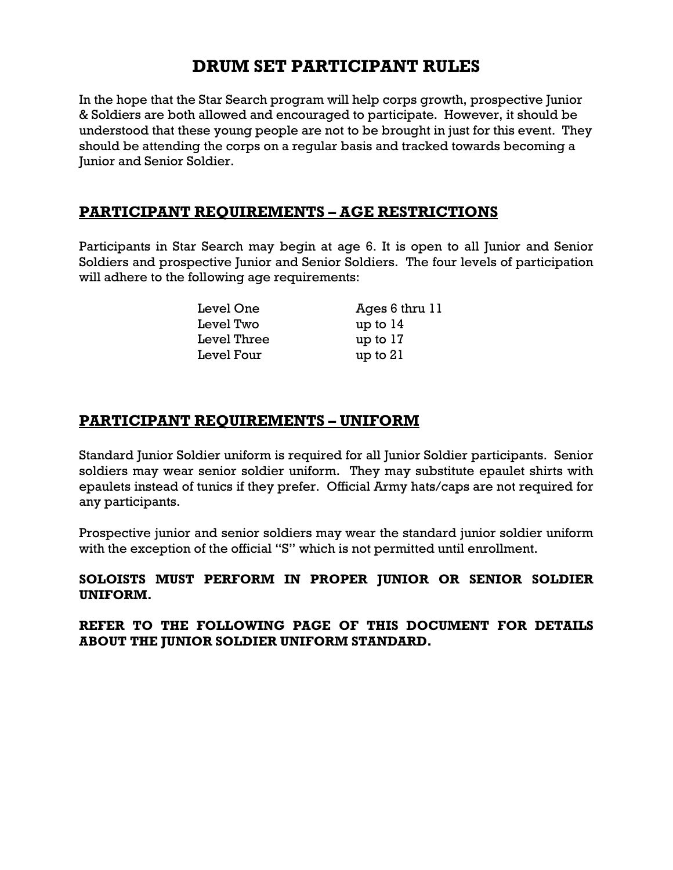## **DRUM SET PARTICIPANT RULES**

In the hope that the Star Search program will help corps growth, prospective Junior & Soldiers are both allowed and encouraged to participate. However, it should be understood that these young people are not to be brought in just for this event. They should be attending the corps on a regular basis and tracked towards becoming a Junior and Senior Soldier.

#### **PARTICIPANT REQUIREMENTS – AGE RESTRICTIONS**

Participants in Star Search may begin at age 6. It is open to all Junior and Senior Soldiers and prospective Junior and Senior Soldiers. The four levels of participation will adhere to the following age requirements:

| Level One   | Ages 6 thru 11 |
|-------------|----------------|
| Level Two   | up to $14$     |
| Level Three | up to $17$     |
| Level Four  | up to 21       |

#### **PARTICIPANT REQUIREMENTS – UNIFORM**

Standard Junior Soldier uniform is required for all Junior Soldier participants. Senior soldiers may wear senior soldier uniform. They may substitute epaulet shirts with epaulets instead of tunics if they prefer. Official Army hats/caps are not required for any participants.

Prospective junior and senior soldiers may wear the standard junior soldier uniform with the exception of the official "S" which is not permitted until enrollment.

#### **SOLOISTS MUST PERFORM IN PROPER JUNIOR OR SENIOR SOLDIER UNIFORM.**

**REFER TO THE FOLLOWING PAGE OF THIS DOCUMENT FOR DETAILS ABOUT THE JUNIOR SOLDIER UNIFORM STANDARD.**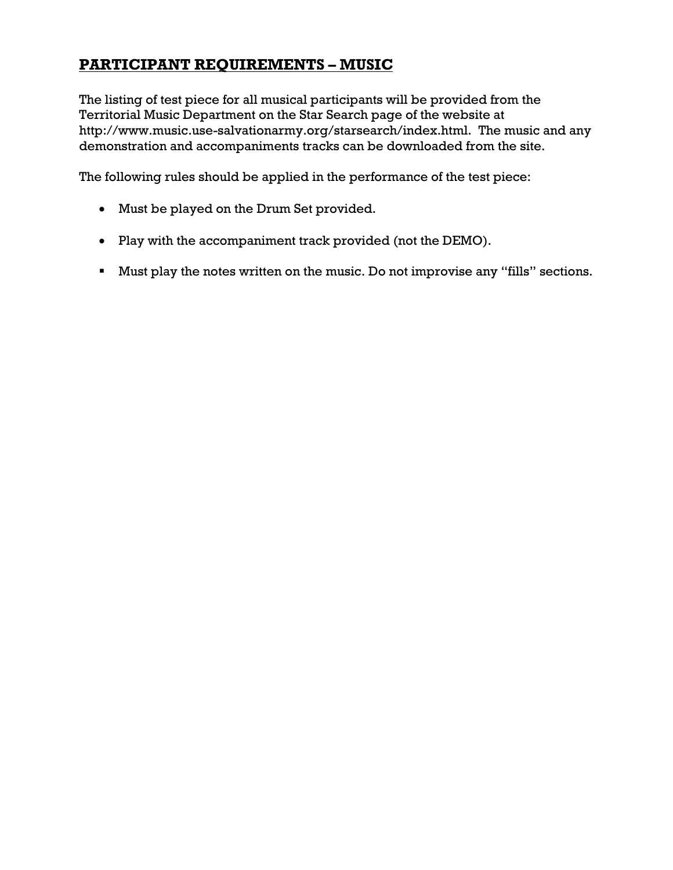### **PARTICIPANT REQUIREMENTS – MUSIC**

The listing of test piece for all musical participants will be provided from the Territorial Music Department on the Star Search page of the website at http://www.music.use-salvationarmy.org/starsearch/index.html. The music and any demonstration and accompaniments tracks can be downloaded from the site.

The following rules should be applied in the performance of the test piece:

- Must be played on the Drum Set provided.
- Play with the accompaniment track provided (not the DEMO).
- Must play the notes written on the music. Do not improvise any "fills" sections.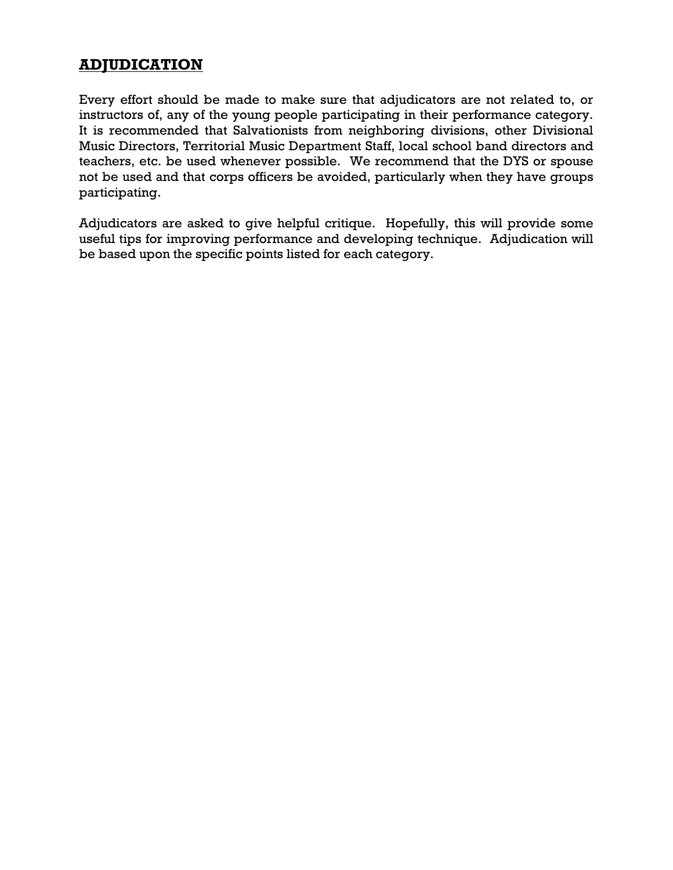### **ADJUDICATION**

Every effort should be made to make sure that adjudicators are not related to, or instructors of, any of the young people participating in their performance category. It is recommended that Salvationists from neighboring divisions, other Divisional Music Directors, Territorial Music Department Staff, local school band directors and teachers, etc. be used whenever possible. We recommend that the DYS or spouse not be used and that corps officers be avoided, particularly when they have groups participating.

Adjudicators are asked to give helpful critique. Hopefully, this will provide some useful tips for improving performance and developing technique. Adjudication will be based upon the specific points listed for each category.